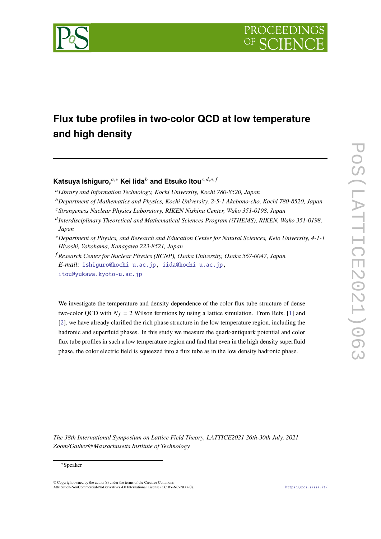

# **Flux tube profiles in two-color QCD at low temperature and high density**

## **Katsuva Ishiguro,**<sup>a,∗</sup> Kei Iida<sup>b</sup> and Etsuko Itou<sup>c,d,e,f</sup>

- *Library and Information Technology, Kochi University, Kochi 780-8520, Japan*
- *Department of Mathematics and Physics, Kochi University, 2-5-1 Akebono-cho, Kochi 780-8520, Japan*
- *Strangeness Nuclear Physics Laboratory, RIKEN Nishina Center, Wako 351-0198, Japan*
- *Interdisciplinary Theoretical and Mathematical Sciences Program (iTHEMS), RIKEN, Wako 351-0198, Japan*
- *Department of Physics, and Research and Education Center for Natural Sciences, Keio University, 4-1-1 Hiyoshi, Yokohama, Kanagawa 223-8521, Japan*
- *Research Center for Nuclear Physics (RCNP), Osaka University, Osaka 567-0047, Japan E-mail:* [ishiguro@kochi-u.ac.jp,](mailto:ishiguro@kochi-u.ac.jp) [iida@kochi-u.ac.jp,](mailto:iida@kochi-u.ac.jp) [itou@yukawa.kyoto-u.ac.jp](mailto:itou@yukawa.kyoto-u.ac.jp)

We investigate the temperature and density dependence of the color flux tube structure of dense two-color QCD with  $N_f = 2$  Wilson fermions by using a lattice simulation. From Refs. [\[1\]](#page-7-0) and [\[2\]](#page-7-1), we have already clarified the rich phase structure in the low temperature region, including the hadronic and superfluid phases. In this study we measure the quark-antiquark potential and color flux tube profiles in such a low temperature region and find that even in the high density superfluid phase, the color electric field is squeezed into a flux tube as in the low density hadronic phase.

*The 38th International Symposium on Lattice Field Theory, LATTICE2021 26th-30th July, 2021 Zoom/Gather@Massachusetts Institute of Technology*

#### <sup>∗</sup>Speaker

© Copyright owned by the author(s) under the terms of the Creative Commons Attribution-NonCommercial-NoDerivatives 4.0 International License (CC BY-NC-ND 4.0). <https://pos.sissa.it/>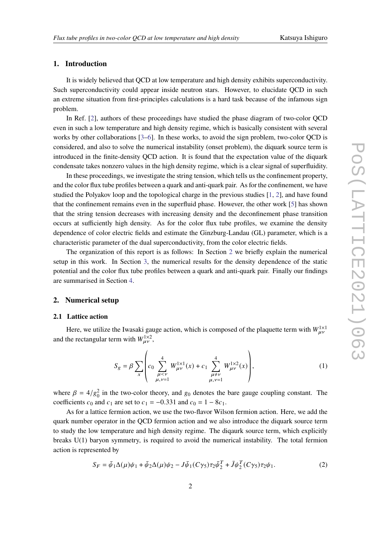## **1. Introduction**

It is widely believed that QCD at low temperature and high density exhibits superconductivity. Such superconductivity could appear inside neutron stars. However, to elucidate QCD in such an extreme situation from first-principles calculations is a hard task because of the infamous sign problem.

In Ref. [\[2\]](#page-7-1), authors of these proceedings have studied the phase diagram of two-color QCD even in such a low temperature and high density regime, which is basically consistent with several works by other collaborations [\[3–](#page-7-2)[6\]](#page-7-3). In these works, to avoid the sign problem, two-color QCD is considered, and also to solve the numerical instability (onset problem), the diquark source term is introduced in the finite-density QCD action. It is found that the expectation value of the diquark condensate takes nonzero values in the high density regime, which is a clear signal of superfluidity.

In these proceedings, we investigate the string tension, which tells us the confinement property, and the color flux tube profiles between a quark and anti-quark pair. As for the confinement, we have studied the Polyakov loop and the topological charge in the previous studies [\[1,](#page-7-0) [2\]](#page-7-1), and have found that the confinement remains even in the superfluid phase. However, the other work [\[5\]](#page-7-4) has shown that the string tension decreases with increasing density and the deconfinement phase transition occurs at sufficiently high density. As for the color flux tube profiles, we examine the density dependence of color electric fields and estimate the Ginzburg-Landau (GL) parameter, which is a characteristic parameter of the dual superconductivity, from the color electric fields.

The organization of this report is as follows: In Section [2](#page-1-0) we briefly explain the numerical setup in this work. In Section [3,](#page-2-0) the numerical results for the density dependence of the static potential and the color flux tube profiles between a quark and anti-quark pair. Finally our findings are summarised in Section [4.](#page-6-0)

## <span id="page-1-0"></span>**2. Numerical setup**

#### **2.1 Lattice action**

Here, we utilize the Iwasaki gauge action, which is composed of the plaquette term with  $W_{\mu\nu}^{1\times1}$ and the rectangular term with  $W_{\mu\nu}^{1\times 2}$ ,

$$
S_g = \beta \sum_{x} \left( c_0 \sum_{\mu < \nu}^{4} W_{\mu\nu}^{1 \times 1}(x) + c_1 \sum_{\mu \neq \nu}^{4} W_{\mu\nu}^{1 \times 2}(x) \right), \tag{1}
$$

where  $\beta = 4/g_0^2$  in the two-color theory, and  $g_0$  denotes the bare gauge coupling constant. The coefficients  $c_0$  and  $c_1$  are set to  $c_1 = -0.331$  and  $c_0 = 1 - 8c_1$ .

As for a lattice fermion action, we use the two-flavor Wilson fermion action. Here, we add the quark number operator in the QCD fermion action and we also introduce the diquark source term to study the low temperature and high density regime. The diqaurk source term, which explicitly breaks U(1) baryon symmetry, is required to avoid the numerical instability. The total fermion action is represented by

$$
S_F = \bar{\psi}_1 \Delta(\mu)\psi_1 + \bar{\psi}_2 \Delta(\mu)\psi_2 - J\bar{\psi}_1(C\gamma_5)\tau_2\bar{\psi}_2^T + \bar{J}\psi_2^T(C\gamma_5)\tau_2\psi_1.
$$
 (2)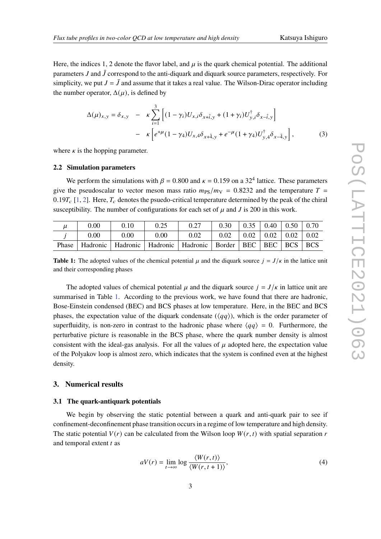Here, the indices 1, 2 denote the flavor label, and  $\mu$  is the quark chemical potential. The additional parameters  $J$  and  $\bar{J}$  correspond to the anti-diquark and diquark source parameters, respectively. For simplicity, we put  $J = \bar{J}$  and assume that it takes a real value. The Wilson-Dirac operator including the number operator,  $\Delta(\mu)$ , is defined by

$$
\Delta(\mu)_{x,y} = \delta_{x,y} - \kappa \sum_{i=1}^{3} \left[ (1 - \gamma_i) U_{x,i} \delta_{x+\hat{i},y} + (1 + \gamma_i) U_{y,i}^{\dagger} \delta_{x-\hat{i},y} \right] - \kappa \left[ e^{+\mu} (1 - \gamma_4) U_{x,4} \delta_{x+\hat{4},y} + e^{-\mu} (1 + \gamma_4) U_{y,4}^{\dagger} \delta_{x-\hat{4},y} \right],
$$
 (3)

where  $\kappa$  is the hopping parameter.

#### **2.2 Simulation parameters**

We perform the simulations with  $\beta = 0.800$  and  $\kappa = 0.159$  on a 32<sup>4</sup> lattice. These parameters give the pseudoscalar to vector meson mass ratio  $m_{PS}/m_{V} = 0.8232$  and the temperature  $T =$ 0.19 $T_c$  [\[1,](#page-7-0) [2\]](#page-7-1). Here,  $T_c$  denotes the psuedo-critical temperature determined by the peak of the chiral susceptibility. The number of configurations for each set of  $\mu$  and J is 200 in this work.

<span id="page-2-1"></span>

| μ     | 0.00 | 0.10     |      |                                                                            | 0.30 | $\vert 0.35 \vert 0.40 \vert 0.50 \vert 0.70$ |  |  |
|-------|------|----------|------|----------------------------------------------------------------------------|------|-----------------------------------------------|--|--|
|       | 0.00 | $0.00\,$ | 0.00 | 0.02                                                                       | 0.02 | $0.02 \pm 0.02 \pm 0.02 \pm 0.02$             |  |  |
| Phase |      |          |      | Hadronic   Hadronic   Hadronic   Hadronic   Border   BEC   BEC   BCS   BCS |      |                                               |  |  |

**Table 1:** The adopted values of the chemical potential  $\mu$  and the diquark source  $j = J/\kappa$  in the lattice unit and their corresponding phases

The adopted values of chemical potential  $\mu$  and the diquark source  $j = J/\kappa$  in lattice unit are summarised in Table [1.](#page-2-1) According to the previous work, we have found that there are hadronic, Bose-Einstein condensed (BEC) and BCS phases at low temperature. Here, in the BEC and BCS phases, the expectation value of the diquark condensate ( $\langle \langle qq \rangle$ ), which is the order parameter of superfluidity, is non-zero in contrast to the hadronic phase where  $\langle qq \rangle = 0$ . Furthermore, the perturbative picture is reasonable in the BCS phase, where the quark number density is almost consistent with the ideal-gas analysis. For all the values of  $\mu$  adopted here, the expectation value of the Polyakov loop is almost zero, which indicates that the system is confined even at the highest density.

#### <span id="page-2-0"></span>**3. Numerical results**

#### **3.1 The quark-antiquark potentials**

We begin by observing the static potential between a quark and anti-quark pair to see if confinement-deconfinement phase transition occurs in a regime of low temperature and high density. The static potential  $V(r)$  can be calculated from the Wilson loop  $W(r, t)$  with spatial separation r and temporal extent  $t$  as

$$
aV(r) = \lim_{t \to \infty} \log \frac{\langle W(r, t) \rangle}{\langle W(r, t+1) \rangle},\tag{4}
$$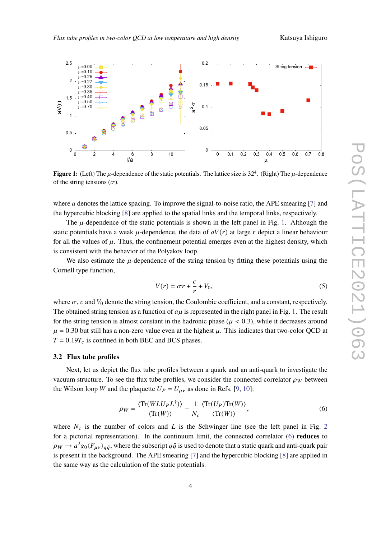<span id="page-3-0"></span>

**Figure 1:** (Left) The  $\mu$ -dependence of the static potentials. The lattice size is 32<sup>4</sup>. (Right) The  $\mu$ -dependence of the string tensions  $(\sigma)$ .

where *a* denotes the lattice spacing. To improve the signal-to-noise ratio, the APE smearing  $[7]$  and the hypercubic blocking [\[8\]](#page-7-6) are applied to the spatial links and the temporal links, respectively.

The  $\mu$ -dependence of the static potentials is shown in the left panel in Fig. [1.](#page-3-0) Although the static potentials have a weak  $\mu$ -dependence, the data of  $aV(r)$  at large r depict a linear behaviour for all the values of  $\mu$ . Thus, the confinement potential emerges even at the highest density, which is consistent with the behavior of the Polyakov loop.

We also estimate the  $\mu$ -dependence of the string tension by fitting these potentials using the Cornell type function,

$$
V(r) = \sigma r + \frac{c}{r} + V_0,\tag{5}
$$

where  $\sigma$ ,  $c$  and  $V_0$  denote the string tension, the Coulombic coefficient, and a constant, respectively. The obtained string tension as a function of  $a\mu$  is represented in the right panel in Fig. [1.](#page-3-0) The result for the string tension is almost constant in the hadronic phase ( $\mu$  < 0.3), while it decreases around  $\mu$  = 0.30 but still has a non-zero value even at the highest  $\mu$ . This indicates that two-color QCD at  $T = 0.19 T_c$  is confined in both BEC and BCS phases.

#### **3.2 Flux tube profiles**

Next, let us depict the flux tube profiles between a quark and an anti-quark to investigate the vacuum structure. To see the flux tube profiles, we consider the connected correlator  $\rho_W$  between the Wilson loop *W* and the plaquette  $U_P = U_{\mu\nu}$  as done in Refs. [\[9,](#page-7-7) [10\]](#page-7-8):

<span id="page-3-1"></span>
$$
\rho_W = \frac{\langle \text{Tr}(WLUPL^{\dagger}) \rangle}{\langle \text{Tr}(W) \rangle} - \frac{1}{N_c} \frac{\langle \text{Tr}(U_P)\text{Tr}(W) \rangle}{\langle \text{Tr}(W) \rangle},\tag{6}
$$

where  $N_c$  is the number of colors and L is the Schwinger line (see the left panel in Fig. [2](#page-4-0) for a pictorial representation). In the continuum limit, the connected correlator [\(6\)](#page-3-1) **reduces** to  $\rho_W\to a^2g_0\langle F_{\mu\nu}\rangle_{q\bar{q}}$ , where the subscript  $q\bar{q}$  is used to denote that a static quark and anti-quark pair is present in the background. The APE smearing [\[7\]](#page-7-5) and the hypercubic blocking [\[8\]](#page-7-6) are applied in the same way as the calculation of the static potentials.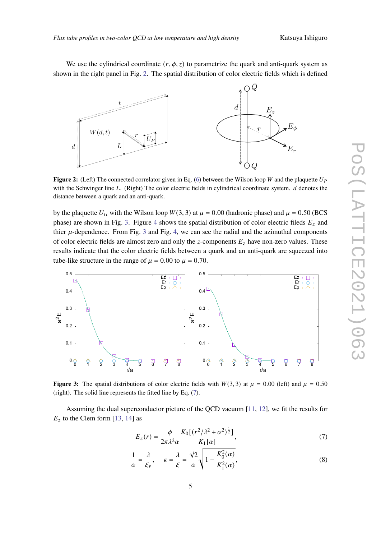We use the cylindrical coordinate  $(r, \phi, z)$  to parametrize the quark and anti-quark system as shown in the right panel in Fig. [2.](#page-4-0) The spatial distribution of color electric fields which is defined

<span id="page-4-0"></span>

**Figure 2:** (Left) The connected correlator given in Eq. [\(6\)](#page-3-1) between the Wilson loop W and the plaquette  $U_P$ with the Schwinger line  $L$ . (Right) The color electric fields in cylindrical coordinate system.  $d$  denotes the distance between a quark and an anti-quark.

by the plaquette  $U_{ti}$  with the Wilson loop  $W(3, 3)$  at  $\mu = 0.00$  (hadronic phase) and  $\mu = 0.50$  (BCS phase) are shown in Fig. [3.](#page-4-1) Figure [4](#page-5-0) shows the spatial distribution of color electric fileds  $E<sub>z</sub>$  and thier  $\mu$ -dependence. From Fig. [3](#page-4-1) and Fig. [4,](#page-5-0) we can see the radial and the azimuthal components of color electric fields are almost zero and only the z-components  $E_z$  have non-zero values. These results indicate that the color electric fields between a quark and an anti-quark are squeezed into tube-like structure in the range of  $\mu = 0.00$  to  $\mu = 0.70$ .

<span id="page-4-1"></span>

**Figure 3:** The spatial distributions of color electric fields with  $W(3, 3)$  at  $\mu = 0.00$  (left) and  $\mu = 0.50$ (right). The solid line represents the fitted line by Eq. [\(7\)](#page-4-2).

Assuming the dual superconductor picture of the QCD vacuum [\[11,](#page-7-9) [12\]](#page-7-10), we fit the results for  $E<sub>z</sub>$  to the Clem form [\[13,](#page-7-11) [14\]](#page-7-12) as

<span id="page-4-2"></span>
$$
E_z(r) = \frac{\phi}{2\pi\lambda^2\alpha} \frac{K_0[(r^2/\lambda^2 + \alpha^2)^{\frac{1}{2}}]}{K_1[\alpha]},
$$
\n(7)

$$
\frac{1}{\alpha} = \frac{\lambda}{\xi_{\nu}}, \qquad \kappa = \frac{\lambda}{\xi} = \frac{\sqrt{2}}{\alpha} \sqrt{1 - \frac{K_0^2(\alpha)}{K_1^2(\alpha)}},\tag{8}
$$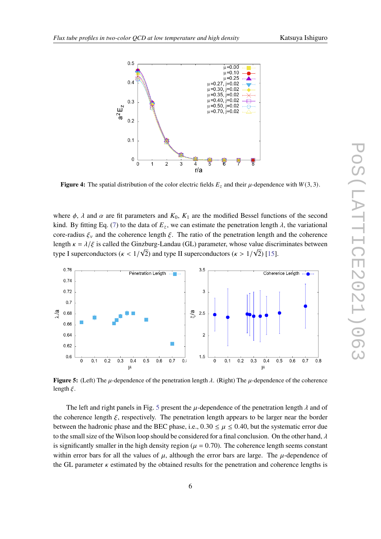<span id="page-5-0"></span>

**Figure 4:** The spatial distribution of the color electric fields  $E_z$  and their  $\mu$ -dependence with  $W(3, 3)$ .

where  $\phi$ ,  $\lambda$  and  $\alpha$  are fit parameters and  $K_0$ ,  $K_1$  are the modified Bessel functions of the second kind. By fitting Eq. [\(7\)](#page-4-2) to the data of  $E_z$ , we can estimate the penetration length  $\lambda$ , the variational core-radius  $\xi_v$  and the coherence length  $\xi$ . The ratio of the penetration length and the coherence length  $\kappa = \lambda/\xi$  is called the Ginzburg-Landau (GL) parameter, whose value discriminates between type I superconductors ( $\kappa < 1/\sqrt{2}$ ) and type II superconductors ( $\kappa > 1/\sqrt{2}$ ) [\[15\]](#page-7-13).

<span id="page-5-1"></span>

**Figure 5:** (Left) The  $\mu$ -dependence of the penetration length  $\lambda$ . (Right) The  $\mu$ -dependence of the coherence length  $\xi$ .

The left and right panels in Fig. [5](#page-5-1) present the  $\mu$ -dependence of the penetration length  $\lambda$  and of the coherence length  $\xi$ , respectively. The penetration length appears to be larger near the border between the hadronic phase and the BEC phase, i.e.,  $0.30 \le \mu \le 0.40$ , but the systematic error due to the small size of the Wilson loop should be considered for a final conclusion. On the other hand,  $\lambda$ is significantly smaller in the high density region ( $\mu = 0.70$ ). The coherence length seems constant within error bars for all the values of  $\mu$ , although the error bars are large. The  $\mu$ -dependence of the GL parameter  $\kappa$  estimated by the obtained results for the penetration and coherence lengths is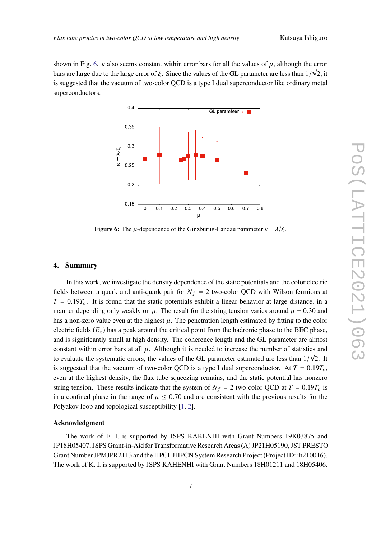<span id="page-6-1"></span>shown in Fig. [6.](#page-6-1)  $\kappa$  also seems constant within error bars for all the values of  $\mu$ , although the error bars are large due to the large error of  $\xi.$  Since the values of the GL parameter are less than  $1/\sqrt{2},$  it is suggested that the vacuum of two-color QCD is a type I dual superconductor like ordinary metal superconductors.



**Figure 6:** The  $\mu$ -dependence of the Ginzburug-Landau parameter  $\kappa = \lambda/\xi$ .

## <span id="page-6-0"></span>**4. Summary**

In this work, we investigate the density dependence of the static potentials and the color electric fields between a quark and anti-quark pair for  $N_f = 2$  two-color QCD with Wilson fermions at  $T = 0.19T_c$ . It is found that the static potentials exhibit a linear behavior at large distance, in a manner depending only weakly on  $\mu$ . The result for the string tension varies around  $\mu = 0.30$  and has a non-zero value even at the highest  $\mu$ . The penetration length estimated by fitting to the color electric fields  $(E_z)$  has a peak around the critical point from the hadronic phase to the BEC phase, and is significantly small at high density. The coherence length and the GL parameter are almost constant within error bars at all  $\mu$ . Although it is needed to increase the number of statistics and to evaluate the systematic errors, the values of the GL parameter estimated are less than  $1/\sqrt{2}$ . It is suggested that the vacuum of two-color QCD is a type I dual superconductor. At  $T = 0.19T_c$ , even at the highest density, the flux tube squeezing remains, and the static potential has nonzero string tension. These results indicate that the system of  $N_f = 2$  two-color QCD at  $T = 0.19T_c$  is in a confined phase in the range of  $\mu \leq 0.70$  and are consistent with the previous results for the Polyakov loop and topological susceptibility [\[1,](#page-7-0) [2\]](#page-7-1).

## **Acknowledgment**

The work of E. I. is supported by JSPS KAKENHI with Grant Numbers 19K03875 and JP18H05407, JSPS Grant-in-Aid for Transformative Research Areas (A) JP21H05190, JST PRESTO Grant Number JPMJPR2113 and the HPCI-JHPCN System Research Project (Project ID: jh210016). The work of K. I. is supported by JSPS KAHENHI with Grant Numbers 18H01211 and 18H05406.